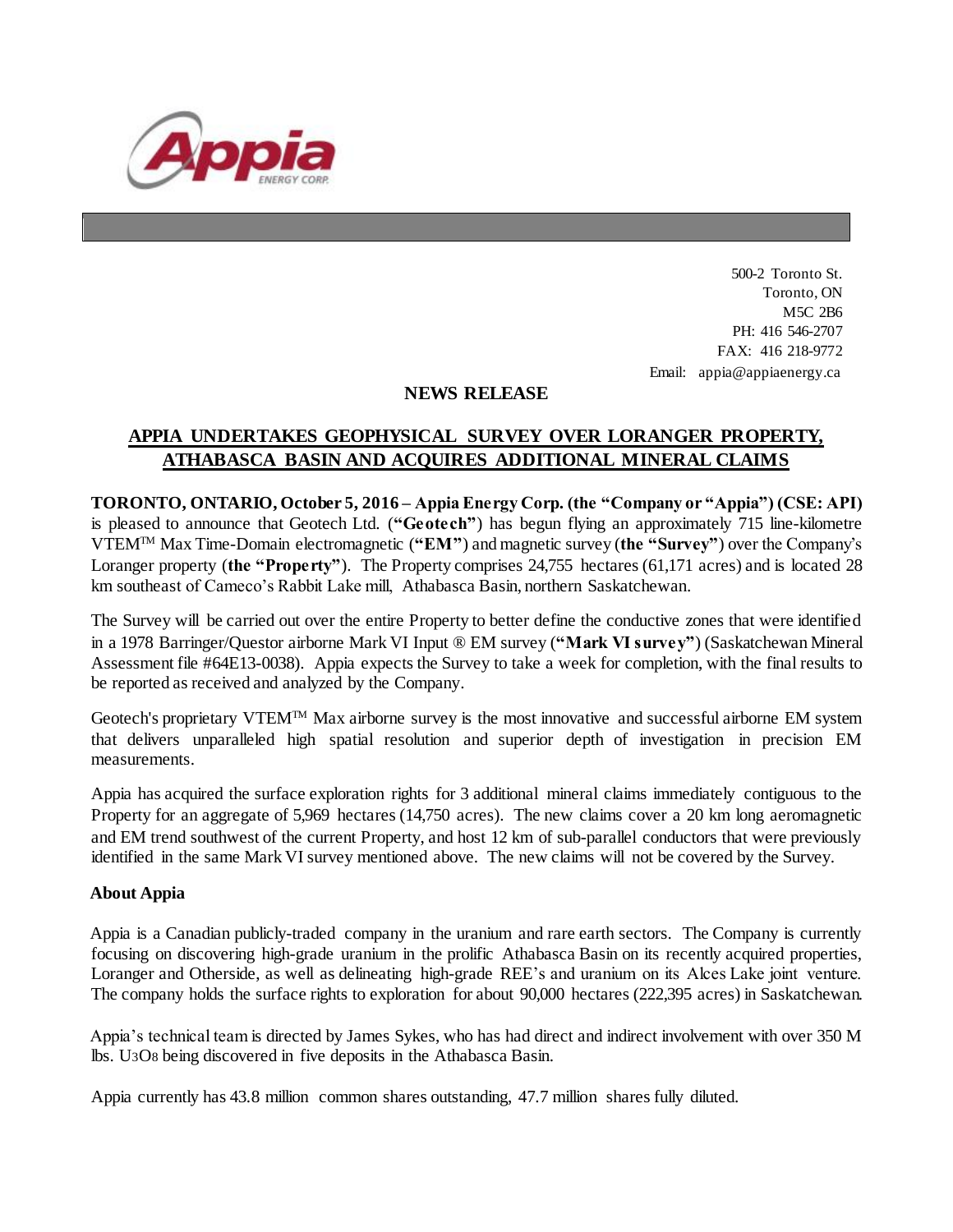

500-2 Toronto St. Toronto, ON M5C 2B6 PH: 416 546-2707 FAX: 416 218-9772 Email: appia@appiaenergy.ca

## **NEWS RELEASE**

## **APPIA UNDERTAKES GEOPHYSICAL SURVEY OVER LORANGER PROPERTY, ATHABASCA BASIN AND ACQUIRES ADDITIONAL MINERAL CLAIMS**

**TORONTO, ONTARIO, October 5, 2016 – Appia Energy Corp. (the "Company or "Appia") (CSE: API)** is pleased to announce that Geotech Ltd. (**"Geotech"**) has begun flying an approximately 715 line-kilometre VTEMTM Max Time-Domain electromagnetic (**"EM"**) and magnetic survey (**the "Survey"**) over the Company's Loranger property (**the "Property"**). The Property comprises 24,755 hectares (61,171 acres) and is located 28 km southeast of Cameco's Rabbit Lake mill, Athabasca Basin, northern Saskatchewan.

The Survey will be carried out over the entire Property to better define the conductive zones that were identified in a 1978 Barringer/Questor airborne Mark VI Input ® EM survey (**"Mark VI survey"**) (Saskatchewan Mineral Assessment file #64E13-0038). Appia expects the Survey to take a week for completion, with the final results to be reported as received and analyzed by the Company.

Geotech's proprietary VTEM™ Max airborne survey is the most innovative and successful airborne EM system that delivers unparalleled high spatial resolution and superior depth of investigation in precision EM measurements.

Appia has acquired the surface exploration rights for 3 additional mineral claims immediately contiguous to the Property for an aggregate of 5,969 hectares (14,750 acres). The new claims cover a 20 km long aeromagnetic and EM trend southwest of the current Property, and host 12 km of sub-parallel conductors that were previously identified in the same Mark VI survey mentioned above. The new claims will not be covered by the Survey.

## **About Appia**

Appia is a Canadian publicly-traded company in the uranium and rare earth sectors. The Company is currently focusing on discovering high-grade uranium in the prolific Athabasca Basin on its recently acquired properties, Loranger and Otherside, as well as delineating high-grade REE's and uranium on its Alces Lake joint venture. The company holds the surface rights to exploration for about 90,000 hectares (222,395 acres) in Saskatchewan.

Appia's technical team is directed by James Sykes, who has had direct and indirect involvement with over 350 M lbs. U3O8 being discovered in five deposits in the Athabasca Basin.

Appia currently has 43.8 million common shares outstanding, 47.7 million shares fully diluted.